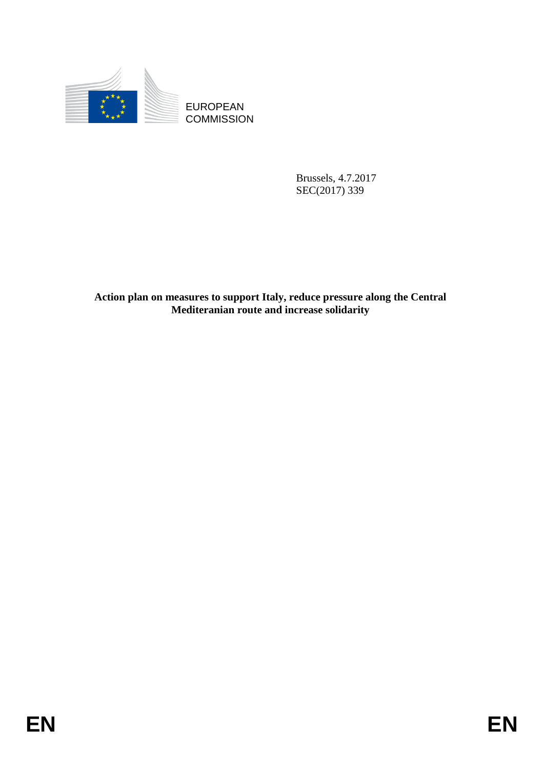

**COMMISSION** 

Brussels, 4.7.2017 SEC(2017) 339

EUROPEAN<br>
EUROPEAN<br>
ENGINEERIN<br>
BROKES - 5.2.2017<br>
SLCC20171339<br>
Action plan on mewcares to support Italy, reduce presence along the Central<br>
Mcditcranian roote and increase solidarity<br> **EN**<br>
EN **Action plan on measures to support Italy, reduce pressure along the Central Mediteranian route and increase solidarity**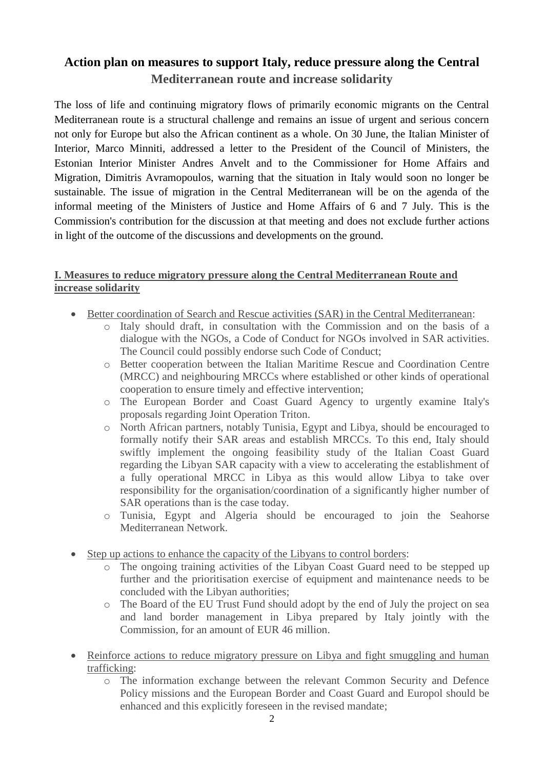## **Action plan on measures to support Italy, reduce pressure along the Central Mediterranean route and increase solidarity**

The loss of life and continuing migratory flows of primarily economic migrants on the Central Mediterranean route is a structural challenge and remains an issue of urgent and serious concern not only for Europe but also the African continent as a whole. On 30 June, the Italian Minister of Interior, Marco Minniti, addressed a letter to the President of the Council of Ministers, the Estonian Interior Minister Andres Anvelt and to the Commissioner for Home Affairs and Migration, Dimitris Avramopoulos, warning that the situation in Italy would soon no longer be sustainable. The issue of migration in the Central Mediterranean will be on the agenda of the informal meeting of the Ministers of Justice and Home Affairs of 6 and 7 July. This is the Commission's contribution for the discussion at that meeting and does not exclude further actions in light of the outcome of the discussions and developments on the ground.

## **I. Measures to reduce migratory pressure along the Central Mediterranean Route and increase solidarity**

- Better coordination of Search and Rescue activities (SAR) in the Central Mediterranean:
	- o Italy should draft, in consultation with the Commission and on the basis of a dialogue with the NGOs, a Code of Conduct for NGOs involved in SAR activities. The Council could possibly endorse such Code of Conduct;
	- o Better cooperation between the Italian Maritime Rescue and Coordination Centre (MRCC) and neighbouring MRCCs where established or other kinds of operational cooperation to ensure timely and effective intervention;
	- o The European Border and Coast Guard Agency to urgently examine Italy's proposals regarding Joint Operation Triton.
	- o North African partners, notably Tunisia, Egypt and Libya, should be encouraged to formally notify their SAR areas and establish MRCCs. To this end, Italy should swiftly implement the ongoing feasibility study of the Italian Coast Guard regarding the Libyan SAR capacity with a view to accelerating the establishment of a fully operational MRCC in Libya as this would allow Libya to take over responsibility for the organisation/coordination of a significantly higher number of SAR operations than is the case today.
	- o Tunisia, Egypt and Algeria should be encouraged to join the Seahorse Mediterranean Network.
- Step up actions to enhance the capacity of the Libyans to control borders:
	- o The ongoing training activities of the Libyan Coast Guard need to be stepped up further and the prioritisation exercise of equipment and maintenance needs to be concluded with the Libyan authorities;
	- o The Board of the EU Trust Fund should adopt by the end of July the project on sea and land border management in Libya prepared by Italy jointly with the Commission, for an amount of EUR 46 million.
- Reinforce actions to reduce migratory pressure on Libya and fight smuggling and human trafficking:
	- o The information exchange between the relevant Common Security and Defence Policy missions and the European Border and Coast Guard and Europol should be enhanced and this explicitly foreseen in the revised mandate;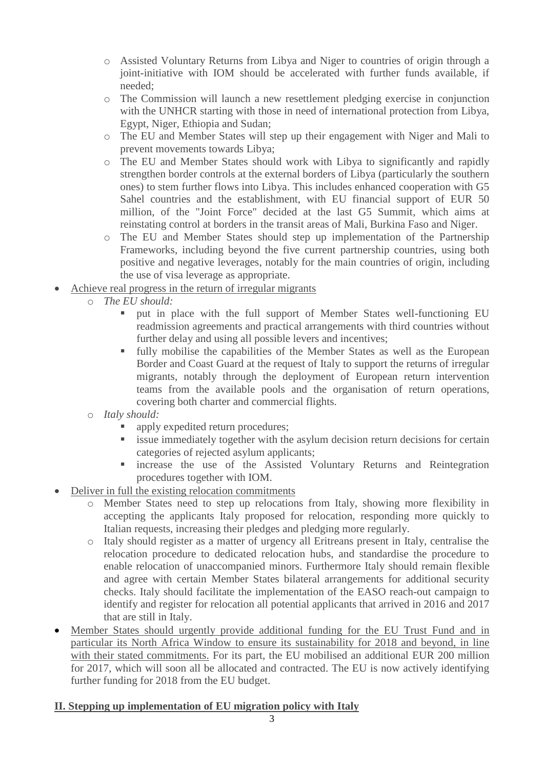- o Assisted Voluntary Returns from Libya and Niger to countries of origin through a joint-initiative with IOM should be accelerated with further funds available, if needed;
- o The Commission will launch a new resettlement pledging exercise in conjunction with the UNHCR starting with those in need of international protection from Libya, Egypt, Niger, Ethiopia and Sudan;
- o The EU and Member States will step up their engagement with Niger and Mali to prevent movements towards Libya;
- o The EU and Member States should work with Libya to significantly and rapidly strengthen border controls at the external borders of Libya (particularly the southern ones) to stem further flows into Libya. This includes enhanced cooperation with G5 Sahel countries and the establishment, with EU financial support of EUR 50 million, of the "Joint Force" decided at the last G5 Summit, which aims at reinstating control at borders in the transit areas of Mali, Burkina Faso and Niger.
- o The EU and Member States should step up implementation of the Partnership Frameworks, including beyond the five current partnership countries, using both positive and negative leverages, notably for the main countries of origin, including the use of visa leverage as appropriate.
- Achieve real progress in the return of irregular migrants
	- o *The EU should:*
		- put in place with the full support of Member States well-functioning EU readmission agreements and practical arrangements with third countries without further delay and using all possible levers and incentives;
		- fully mobilise the capabilities of the Member States as well as the European Border and Coast Guard at the request of Italy to support the returns of irregular migrants, notably through the deployment of European return intervention teams from the available pools and the organisation of return operations, covering both charter and commercial flights.
	- o *Italy should:* 
		- apply expedited return procedures;
		- issue immediately together with the asylum decision return decisions for certain categories of rejected asylum applicants;
		- increase the use of the Assisted Voluntary Returns and Reintegration procedures together with IOM.
- Deliver in full the existing relocation commitments
	- o Member States need to step up relocations from Italy, showing more flexibility in accepting the applicants Italy proposed for relocation, responding more quickly to Italian requests, increasing their pledges and pledging more regularly.
	- o Italy should register as a matter of urgency all Eritreans present in Italy, centralise the relocation procedure to dedicated relocation hubs, and standardise the procedure to enable relocation of unaccompanied minors. Furthermore Italy should remain flexible and agree with certain Member States bilateral arrangements for additional security checks. Italy should facilitate the implementation of the EASO reach-out campaign to identify and register for relocation all potential applicants that arrived in 2016 and 2017 that are still in Italy.
- Member States should urgently provide additional funding for the EU Trust Fund and in particular its North Africa Window to ensure its sustainability for 2018 and beyond, in line with their stated commitments. For its part, the EU mobilised an additional EUR 200 million for 2017, which will soon all be allocated and contracted. The EU is now actively identifying further funding for 2018 from the EU budget.

## **II. Stepping up implementation of EU migration policy with Italy**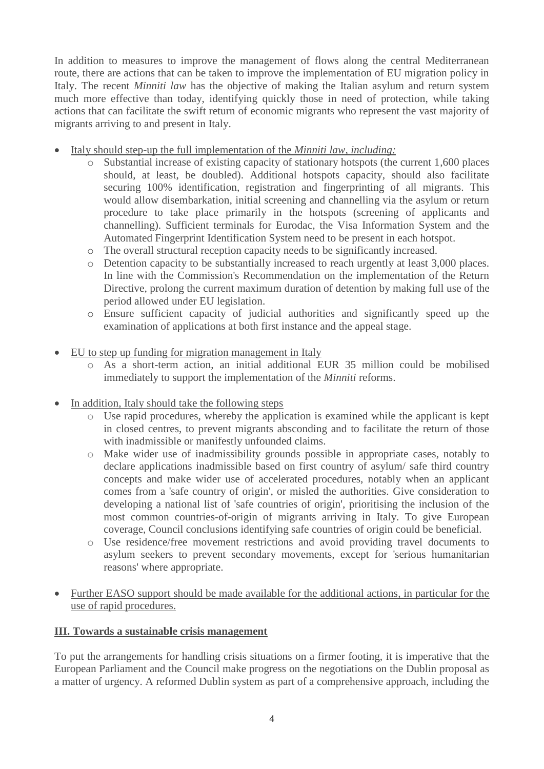In addition to measures to improve the management of flows along the central Mediterranean route, there are actions that can be taken to improve the implementation of EU migration policy in Italy. The recent *Minniti law* has the objective of making the Italian asylum and return system much more effective than today, identifying quickly those in need of protection, while taking actions that can facilitate the swift return of economic migrants who represent the vast majority of migrants arriving to and present in Italy.

- Italy should step-up the full implementation of the *Minniti law, including:*
	- o Substantial increase of existing capacity of stationary hotspots (the current 1,600 places should, at least, be doubled). Additional hotspots capacity, should also facilitate securing 100% identification, registration and fingerprinting of all migrants. This would allow disembarkation, initial screening and channelling via the asylum or return procedure to take place primarily in the hotspots (screening of applicants and channelling). Sufficient terminals for Eurodac, the Visa Information System and the Automated Fingerprint Identification System need to be present in each hotspot.
	- o The overall structural reception capacity needs to be significantly increased.
	- o Detention capacity to be substantially increased to reach urgently at least 3,000 places. In line with the Commission's Recommendation on the implementation of the Return Directive, prolong the current maximum duration of detention by making full use of the period allowed under EU legislation.
	- o Ensure sufficient capacity of judicial authorities and significantly speed up the examination of applications at both first instance and the appeal stage.
- EU to step up funding for migration management in Italy
	- o As a short-term action, an initial additional EUR 35 million could be mobilised immediately to support the implementation of the *Minniti* reforms.
- In addition, Italy should take the following steps
	- o Use rapid procedures, whereby the application is examined while the applicant is kept in closed centres, to prevent migrants absconding and to facilitate the return of those with inadmissible or manifestly unfounded claims.
	- o Make wider use of inadmissibility grounds possible in appropriate cases, notably to declare applications inadmissible based on first country of asylum/ safe third country concepts and make wider use of accelerated procedures, notably when an applicant comes from a 'safe country of origin', or misled the authorities. Give consideration to developing a national list of 'safe countries of origin', prioritising the inclusion of the most common countries-of-origin of migrants arriving in Italy. To give European coverage, Council conclusions identifying safe countries of origin could be beneficial.
	- o Use residence/free movement restrictions and avoid providing travel documents to asylum seekers to prevent secondary movements, except for 'serious humanitarian reasons' where appropriate.
- Further EASO support should be made available for the additional actions, in particular for the use of rapid procedures.

## **III. Towards a sustainable crisis management**

To put the arrangements for handling crisis situations on a firmer footing, it is imperative that the European Parliament and the Council make progress on the negotiations on the Dublin proposal as a matter of urgency. A reformed Dublin system as part of a comprehensive approach, including the